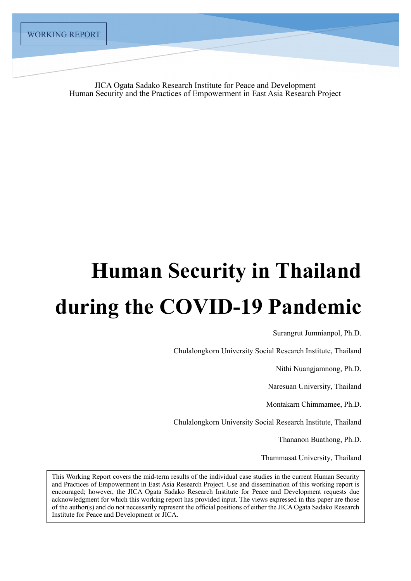JICA Ogata Sadako Research Institute for Peace and Development Human Security and the Practices of Empowerment in East Asia Research Project

# **Human Security in Thailand during the COVID-19 Pandemic**

Surangrut Jumnianpol, Ph.D.

Chulalongkorn University Social Research Institute, Thailand

Nithi Nuangjamnong, Ph.D.

Naresuan University, Thailand

Montakarn Chimmamee, Ph.D.

Chulalongkorn University Social Research Institute, Thailand

Thananon Buathong, Ph.D.

Thammasat University, Thailand

This Working Report covers the mid-term results of the individual case studies in the current Human Security and Practices of Empowerment in East Asia Research Project. Use and dissemination of this working report is encouraged; however, the JICA Ogata Sadako Research Institute for Peace and Development requests due acknowledgment for which this working report has provided input. The views expressed in this paper are those of the author(s) and do not necessarily represent the official positions of either the JICA Ogata Sadako Research Institute for Peace and Development or JICA.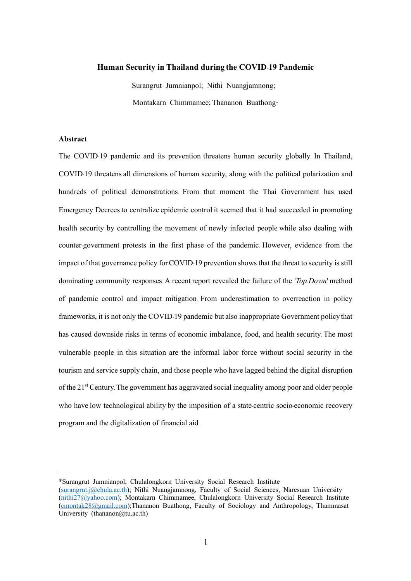## **Human Security in Thailand during the COVID-19 Pandemic**

Surangrut Jumnianpol; Nithi Nuangjamnong; Montakarn Chimmamee; Thananon Buathong\*

## **Abstract**

The COVID-19 pandemic and its prevention threatens human security globally. In Thailand, COVID-19 threatens all dimensions of human security, along with the political polarization and hundreds of political demonstrations. From that moment the Thai Government has used Emergency Decrees to centralize epidemic control it seemed that it had succeeded in promoting health security by controlling the movement of newly infected people while also dealing with counter-government protests in the first phase of the pandemic. However, evidence from the impact of that governance policy forCOVID-19 prevention shows that the threat to security is still dominating community responses. A recent report revealed the failure of the '*Top-Down*' method of pandemic control and impact mitigation. From underestimation to overreaction in policy frameworks, it is not only the COVID-19 pandemic but also inappropriate Government policy that has caused downside risks in terms of economic imbalance, food, and health security. The most vulnerable people in this situation are the informal labor force without social security in the tourism and service supply chain, and those people who have lagged behind the digital disruption of the 21<sup>st</sup> Century. The government has aggravated social inequality among poor and older people who have low technological ability by the imposition of a state-centric socio-economic recovery program and the digitalization of financial aid.

<sup>\*</sup>Surangrut Jumnianpol, Chulalongkorn University Social Research Institute

<sup>(</sup>surangrut.j@chula.ac.th); Nithi Nuangjamnong, Faculty of Social Sciences, Naresuan University (nithi27@yahoo.com); Montakarn Chimmamee, Chulalongkorn University Social Research Institute (cmontak28@gmail.com);Thananon Buathong, Faculty of Sociology and Anthropology, Thammasat University (thananon $(\partial_t tu.ac.th)$ )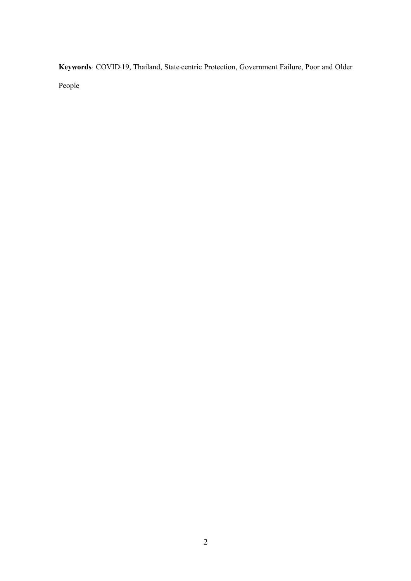**Keywords**: COVID-19, Thailand, State-centric Protection, Government Failure, Poor and Older

People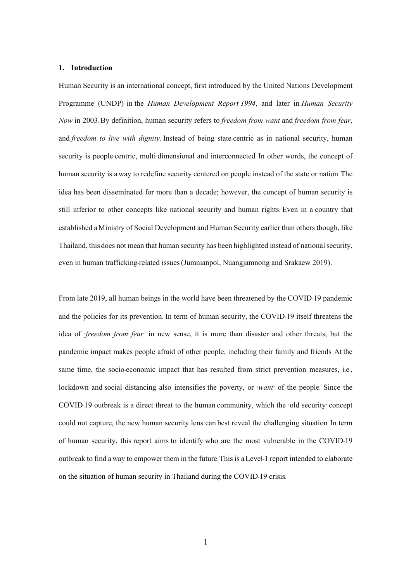#### **1. Introduction**

Human Security is an international concept, first introduced by the United Nations Development Programme (UNDP) in the *Human Development Report 1994*, and later in *Human Security Now* in 2003. By definition, human security refers to *freedom from want* and *freedom from fear*, and *freedom to live with dignity*. Instead of being state-centric as in national security, human security is people-centric, multi-dimensional and interconnected. In other words, the concept of human security is a way to redefine security centered on people instead of the state or nation. The idea has been disseminated for more than a decade; however, the concept of human security is still inferior to other concepts like national security and human rights. Even in a country that established aMinistry of Social Development and Human Security earlier than others though, like Thailand, this does not mean that human security has been highlighted instead of national security, even in human trafficking-related issues(Jumnianpol, Nuangjamnong and Srakaew 2019).

From late 2019, all human beings in the world have been threatened by the COVID-19 pandemic and the policies for its prevention. In term of human security, the COVID-19 itself threatens the idea of '*freedom from fear'* in new sense, it is more than disaster and other threats, but the pandemic impact makes people afraid of other people, including their family and friends. At the same time, the socio-economic impact that has resulted from strict prevention measures, i.e., lockdown and social distancing also intensifies the poverty, or '*want'* of the people. Since the COVID-19 outbreak is a direct threat to the human community, which the 'old security' concept could not capture, the new human security lens can best reveal the challenging situation. In term of human security, this report aims to identify who are the most vulnerable in the COVID-19 outbreak to find away to empower them in the future. This is aLevel-1 report intended to elaborate on the situation of human security in Thailand during the COVID-19 crisis.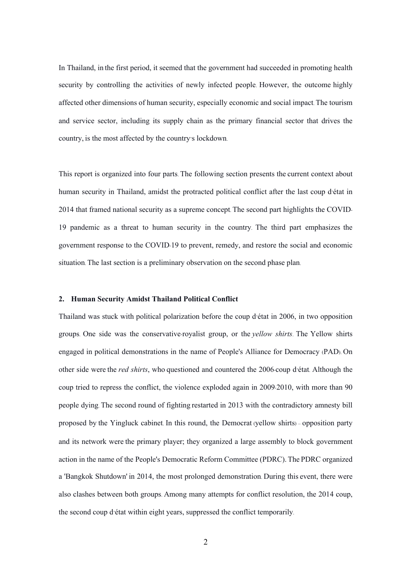In Thailand, in the first period, it seemed that the government had succeeded in promoting health security by controlling the activities of newly infected people. However, the outcome highly affected other dimensions of human security, especially economic and social impact. The tourism and service sector, including its supply chain as the primary financial sector that drives the country, is the most affected by the country's lockdown.

This report is organized into four parts. The following section presents the current context about human security in Thailand, amidst the protracted political conflict after the last coup d'état in 2014 that framed national security as a supreme concept. The second part highlights the COVID-19 pandemic as a threat to human security in the country. The third part emphasizes the government response to the COVID-19 to prevent, remedy, and restore the social and economic situation. The last section is a preliminary observation on the second phase plan.

# **2. Human Security Amidst Thailand Political Conflict**

Thailand was stuck with political polarization before the coup d'état in 2006, in two opposition groups. One side was the conservative-royalist group, or the *yellow shirts*. The Yellow shirts engaged in political demonstrations in the name of People's Alliance for Democracy (PAD). On other side were the *red shirts*, who questioned and countered the 2006-coup d'état. Although the coup tried to repress the conflict, the violence exploded again in 2009-2010, with more than 90 people dying. The second round of fighting restarted in 2013 with the contradictory amnesty bill proposed by the Yingluck cabinet. In this round, the Democrat (yellow shirts) – opposition party and its network were the primary player; they organized a large assembly to block government action in the name of the People's Democratic Reform Committee (PDRC). The PDRC organized a 'Bangkok Shutdown' in 2014, the most prolonged demonstration. During this event, there were also clashes between both groups. Among many attempts for conflict resolution, the 2014 coup, the second coup d'état within eight years, suppressed the conflict temporarily.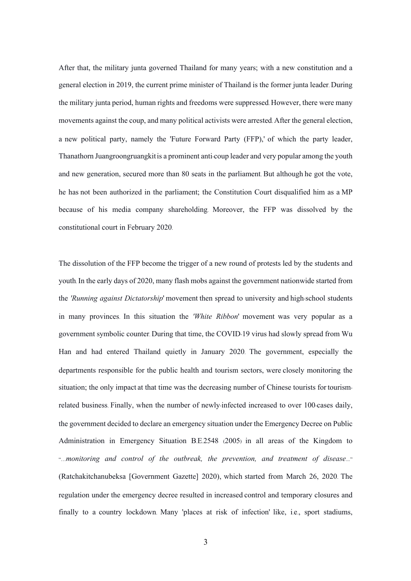After that, the military junta governed Thailand for many years; with a new constitution and a general election in 2019, the current prime minister of Thailand is the former junta leader. During the military junta period, human rights and freedoms were suppressed. However, there were many movements against the coup, and many political activists were arrested. After the general election, a new political party, namely the 'Future Forward Party (FFP),' of which the party leader, Thanathorn Juangroongruangkitis a prominent anti-coup leader and very popular among the youth and new generation, secured more than 80 seats in the parliament. But although he got the vote, he has not been authorized in the parliament; the Constitution Court disqualified him as a MP because of his media company shareholding. Moreover, the FFP was dissolved by the constitutional court in February 2020.

The dissolution of the FFP become the trigger of a new round of protests led by the students and youth. In the early days of 2020, many flash mobs against the government nationwide started from the *'Running against Dictatorship*' movement then spread to university and high-school students in many provinces. In this situation the *'White Ribbon*' movement was very popular as a government symbolic counter. During that time, the COVID-19 virus had slowly spread from Wu Han and had entered Thailand quietly in January 2020. The government, especially the departments responsible for the public health and tourism sectors, were closely monitoring the situation; the only impact at that time was the decreasing number of Chinese tourists for tourismrelated business. Finally, when the number of newly-infected increased to over 100-cases daily, the government decided to declare an emergency situation under the Emergency Decree on Public Administration in Emergency Situation B.E.2548 (2005) in all areas of the Kingdom to "…*monitoring and control of the outbreak, the prevention, and treatment of disease…*" (Ratchakitchanubeksa [Government Gazette] 2020), which started from March 26, 2020. The regulation under the emergency decree resulted in increased control and temporary closures and finally to a country lockdown. Many 'places at risk of infection' like, i.e., sport stadiums,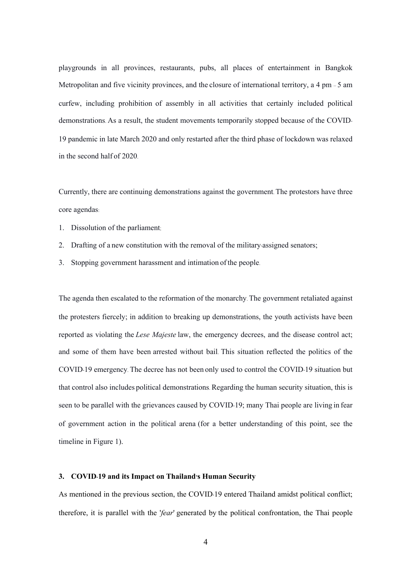playgrounds in all provinces, restaurants, pubs, all places of entertainment in Bangkok Metropolitan and five vicinity provinces, and the closure of international territory, a 4 pm – 5 am curfew, including prohibition of assembly in all activities that certainly included political demonstrations. As a result, the student movements temporarily stopped because of the COVID-19 pandemic in late March 2020 and only restarted after the third phase of lockdown was relaxed in the second half of 2020.

Currently, there are continuing demonstrations against the government. The protestors have three core agendas:

- 1. Dissolution of the parliament;
- 2. Drafting of a new constitution with the removal of the military-assigned senators;
- 3. Stopping government harassment and intimation of the people.

The agenda then escalated to the reformation of the monarchy. The government retaliated against the protesters fiercely; in addition to breaking up demonstrations, the youth activists have been reported as violating the *Lese Majeste* law, the emergency decrees, and the disease control act; and some of them have been arrested without bail. This situation reflected the politics of the COVID-19 emergency. The decree has not been only used to control the COVID-19 situation but that control also includes political demonstrations. Regarding the human security situation, this is seen to be parallel with the grievances caused by COVID-19; many Thai people are living in fear of government action in the political arena (for a better understanding of this point, see the timeline in Figure 1).

#### **3. COVID-19 and its Impact on Thailand's Human Security**

As mentioned in the previous section, the COVID-19 entered Thailand amidst political conflict; therefore, it is parallel with the '*fear*' generated by the political confrontation, the Thai people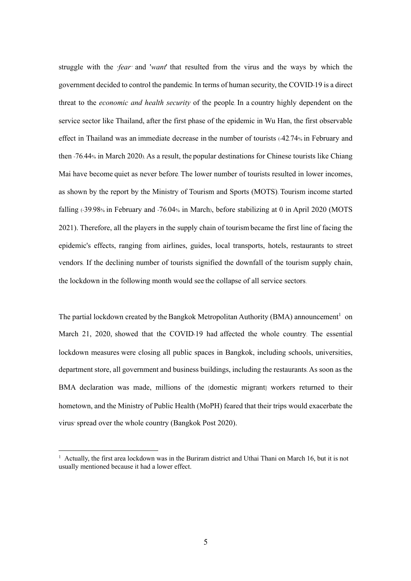struggle with the '*fear'* and '*want*' that resulted from the virus and the ways by which the government decided to control the pandemic. In terms of human security, the COVID-19 is a direct threat to the *economic and health security* of the people. In a country highly dependent on the service sector like Thailand, after the first phase of the epidemic in Wu Han, the first observable effect in Thailand was an immediate decrease in the number of tourists (42.74% in February and then -76.44% in March 2020). As a result, the popular destinations for Chinese tourists like Chiang Mai have become quiet as never before. The lower number of tourists resulted in lower incomes, as shown by the report by the Ministry of Tourism and Sports (MOTS). Tourism income started falling (-39.98% in February and -76.04% in March), before stabilizing at 0 in April 2020 (MOTS 2021). Therefore, all the players in the supply chain of tourismbecame the first line of facing the epidemic's effects, ranging from airlines, guides, local transports, hotels, restaurants to street vendors. If the declining number of tourists signified the downfall of the tourism supply chain, the lockdown in the following month would see the collapse of all service sectors.

The partial lockdown created by the Bangkok Metropolitan Authority (BMA) announcement<sup>1</sup> on March 21, 2020, showed that the COVID-19 had affected the whole country. The essential lockdown measures were closing all public spaces in Bangkok, including schools, universities, department store, all government and business buildings, including the restaurants. As soon as the BMA declaration was made, millions of the [domestic migrant] workers returned to their hometown, and the Ministry of Public Health (MoPH) feared that their trips would exacerbate the virus'spread over the whole country (Bangkok Post 2020).

<sup>&</sup>lt;sup>1</sup> Actually, the first area lockdown was in the Buriram district and Uthai Thani on March 16, but it is not usually mentioned because it had a lower effect.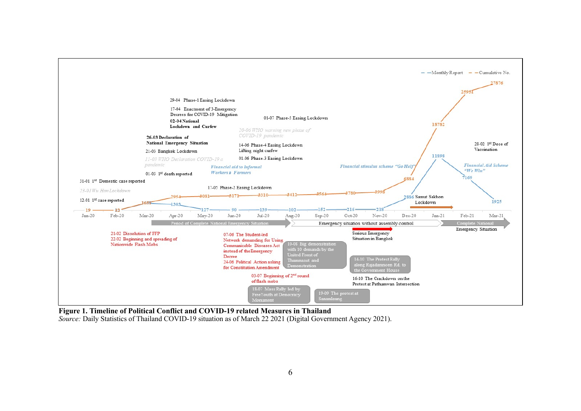

**Figure 1. Timeline of Political Conflict and COVID-19 related Measures in Thailand**

*Source: Daily Statistics of Thailand COVID-19 situation as of March 22 2021 (Digital Government Agency 2021).*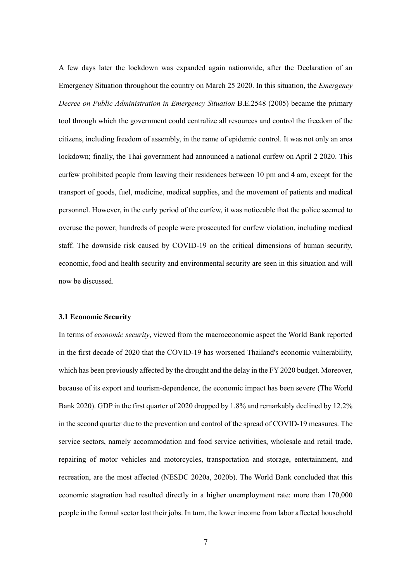A few days later the lockdown was expanded again nationwide, after the Declaration of an Emergency Situation throughout the country on March 25 2020. In this situation, the *Emergency Decree on Public Administration in Emergency Situation* B.E.2548 (2005) became the primary tool through which the government could centralize all resources and control the freedom of the citizens, including freedom of assembly, in the name of epidemic control. It was not only an area lockdown; finally, the Thai government had announced a national curfew on April 2 2020. This curfew prohibited people from leaving their residences between 10 pm and 4 am, except for the transport of goods, fuel, medicine, medical supplies, and the movement of patients and medical personnel. However, in the early period of the curfew, it was noticeable that the police seemed to overuse the power; hundreds of people were prosecuted for curfew violation, including medical staff. The downside risk caused by COVID-19 on the critical dimensions of human security, economic, food and health security and environmental security are seen in this situation and will now be discussed.

# **3.1 Economic Security**

In terms of *economic security*, viewed from the macroeconomic aspect the World Bank reported in the first decade of 2020 that the COVID-19 has worsened Thailand's economic vulnerability, which has been previously affected by the drought and the delay in the FY 2020 budget. Moreover, because of its export and tourism-dependence, the economic impact has been severe (The World Bank 2020). GDP in the first quarter of 2020 dropped by 1.8% and remarkably declined by 12.2% in the second quarter due to the prevention and control of the spread of COVID-19 measures. The service sectors, namely accommodation and food service activities, wholesale and retail trade, repairing of motor vehicles and motorcycles, transportation and storage, entertainment, and recreation, are the most affected (NESDC 2020a, 2020b). The World Bank concluded that this economic stagnation had resulted directly in a higher unemployment rate: more than 170,000 people in the formal sector lost their jobs. In turn, the lower income from labor affected household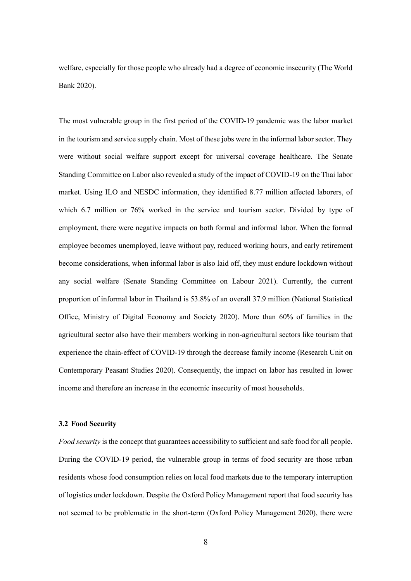welfare, especially for those people who already had a degree of economic insecurity (The World Bank 2020).

The most vulnerable group in the first period of the COVID-19 pandemic was the labor market in the tourism and service supply chain. Most of these jobs were in the informal labor sector. They were without social welfare support except for universal coverage healthcare. The Senate Standing Committee on Labor also revealed a study of the impact of COVID-19 on the Thai labor market. Using ILO and NESDC information, they identified 8.77 million affected laborers, of which 6.7 million or 76% worked in the service and tourism sector. Divided by type of employment, there were negative impacts on both formal and informal labor. When the formal employee becomes unemployed, leave without pay, reduced working hours, and early retirement become considerations, when informal labor is also laid off, they must endure lockdown without any social welfare (Senate Standing Committee on Labour 2021). Currently, the current proportion of informal labor in Thailand is 53.8% of an overall 37.9 million (National Statistical Office, Ministry of Digital Economy and Society 2020). More than 60% of families in the agricultural sector also have their members working in non-agricultural sectors like tourism that experience the chain-effect of COVID-19 through the decrease family income (Research Unit on Contemporary Peasant Studies 2020). Consequently, the impact on labor has resulted in lower income and therefore an increase in the economic insecurity of most households.

## **3.2 Food Security**

*Food security* is the concept that guarantees accessibility to sufficient and safe food for all people. During the COVID-19 period, the vulnerable group in terms of food security are those urban residents whose food consumption relies on local food markets due to the temporary interruption of logistics under lockdown. Despite the Oxford Policy Management report that food security has not seemed to be problematic in the short-term (Oxford Policy Management 2020), there were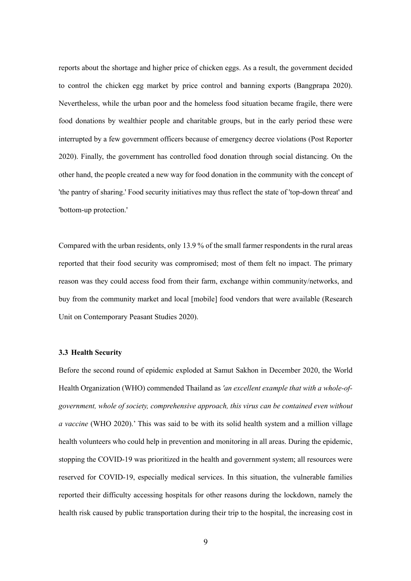reports about the shortage and higher price of chicken eggs. As a result, the government decided to control the chicken egg market by price control and banning exports (Bangprapa 2020). Nevertheless, while the urban poor and the homeless food situation became fragile, there were food donations by wealthier people and charitable groups, but in the early period these were interrupted by a few government officers because of emergency decree violations (Post Reporter 2020). Finally, the government has controlled food donation through social distancing. On the other hand, the people created a new way for food donation in the community with the concept of 'the pantry of sharing.' Food security initiatives may thus reflect the state of 'top-down threat' and 'bottom-up protection.'

Compared with the urban residents, only 13.9 % of the small farmer respondents in the rural areas reported that their food security was compromised; most of them felt no impact. The primary reason was they could access food from their farm, exchange within community/networks, and buy from the community market and local [mobile] food vendors that were available (Research Unit on Contemporary Peasant Studies 2020).

## **3.3 Health Security**

Before the second round of epidemic exploded at Samut Sakhon in December 2020, the World Health Organization (WHO) commended Thailand as *'an excellent example that with a whole-ofgovernment, whole of society, comprehensive approach, this virus can be contained even without a vaccine* (WHO 2020).' This was said to be with its solid health system and a million village health volunteers who could help in prevention and monitoring in all areas. During the epidemic, stopping the COVID-19 was prioritized in the health and government system; all resources were reserved for COVID-19, especially medical services. In this situation, the vulnerable families reported their difficulty accessing hospitals for other reasons during the lockdown, namely the health risk caused by public transportation during their trip to the hospital, the increasing cost in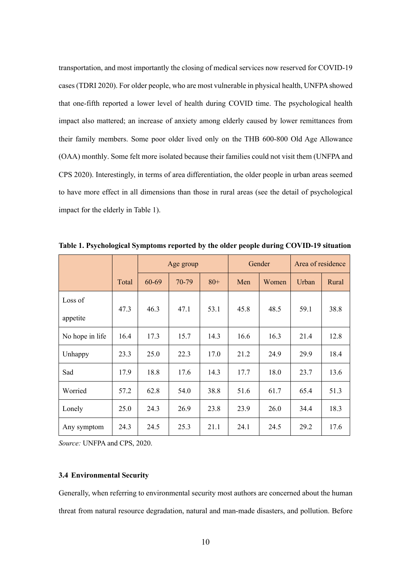transportation, and most importantly the closing of medical services now reserved for COVID-19 cases (TDRI 2020). For older people, who are most vulnerable in physical health, UNFPA showed that one-fifth reported a lower level of health during COVID time. The psychological health impact also mattered; an increase of anxiety among elderly caused by lower remittances from their family members. Some poor older lived only on the THB 600-800 Old Age Allowance (OAA) monthly. Some felt more isolated because their families could not visit them (UNFPA and CPS 2020). Interestingly, in terms of area differentiation, the older people in urban areas seemed to have more effect in all dimensions than those in rural areas (see the detail of psychological impact for the elderly in Table 1).

|                 |       | Age group |       |       | Gender |       | Area of residence |       |
|-----------------|-------|-----------|-------|-------|--------|-------|-------------------|-------|
|                 | Total | 60-69     | 70-79 | $80+$ | Men    | Women | Urban             | Rural |
| Loss of         | 47.3  | 46.3      | 47.1  | 53.1  | 45.8   | 48.5  | 59.1              | 38.8  |
| appetite        |       |           |       |       |        |       |                   |       |
| No hope in life | 16.4  | 17.3      | 15.7  | 14.3  | 16.6   | 16.3  | 21.4              | 12.8  |
| Unhappy         | 23.3  | 25.0      | 22.3  | 17.0  | 21.2   | 24.9  | 29.9              | 18.4  |
| Sad             | 17.9  | 18.8      | 17.6  | 14.3  | 17.7   | 18.0  | 23.7              | 13.6  |
| Worried         | 57.2  | 62.8      | 54.0  | 38.8  | 51.6   | 61.7  | 65.4              | 51.3  |
| Lonely          | 25.0  | 24.3      | 26.9  | 23.8  | 23.9   | 26.0  | 34.4              | 18.3  |
| Any symptom     | 24.3  | 24.5      | 25.3  | 21.1  | 24.1   | 24.5  | 29.2              | 17.6  |

**Table 1. Psychological Symptoms reported by the older people during COVID-19 situation**

*Source:* UNFPA and CPS, 2020.

# **3.4 Environmental Security**

Generally, when referring to environmental security most authors are concerned about the human threat from natural resource degradation, natural and man-made disasters, and pollution. Before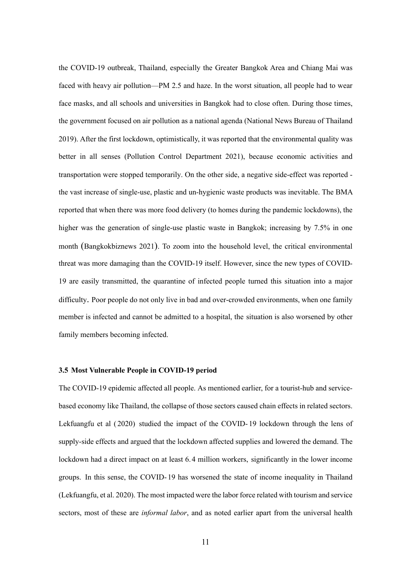the COVID-19 outbreak, Thailand, especially the Greater Bangkok Area and Chiang Mai was faced with heavy air pollution—PM 2.5 and haze. In the worst situation, all people had to wear face masks, and all schools and universities in Bangkok had to close often. During those times, the government focused on air pollution as a national agenda (National News Bureau of Thailand 2019). After the first lockdown, optimistically, it was reported that the environmental quality was better in all senses (Pollution Control Department 2021), because economic activities and transportation were stopped temporarily. On the other side, a negative side-effect was reported the vast increase of single-use, plastic and un-hygienic waste products was inevitable. The BMA reported that when there was more food delivery (to homes during the pandemic lockdowns), the higher was the generation of single-use plastic waste in Bangkok; increasing by 7.5% in one month (Bangkokbiznews 2021). To zoom into the household level, the critical environmental threat was more damaging than the COVID-19 itself. However, since the new types of COVID-19 are easily transmitted, the quarantine of infected people turned this situation into a major difficulty. Poor people do not only live in bad and over-crowded environments, when one family member is infected and cannot be admitted to a hospital, the situation is also worsened by other family members becoming infected.

## **3.5 Most Vulnerable People in COVID-19 period**

The COVID-19 epidemic affected all people. As mentioned earlier, for a tourist-hub and servicebased economy like Thailand, the collapse of those sectors caused chain effects in related sectors. Lekfuangfu et al ( 2020) studied the impact of the COVID- 19 lockdown through the lens of supply-side effects and argued that the lockdown affected supplies and lowered the demand. The lockdown had a direct impact on at least 6.4 million workers, significantly in the lower income groups. In this sense, the COVID-19 has worsened the state of income inequality in Thailand (Lekfuangfu, et al. 2020). The most impacted were the labor force related with tourism and service sectors, most of these are *informal labor*, and as noted earlier apart from the universal health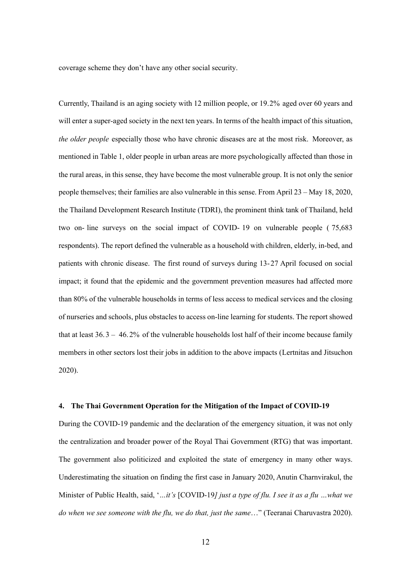coverage scheme they don't have any other social security.

Currently, Thailand is an aging society with 12 million people, or 19.2% aged over 60 years and will enter a super-aged society in the next ten years. In terms of the health impact of this situation, *the older people* especially those who have chronic diseases are at the most risk. Moreover, as mentioned in Table 1, older people in urban areas are more psychologically affected than those in the rural areas, in this sense, they have become the most vulnerable group. It is not only the senior people themselves; their families are also vulnerable in this sense. From April 23 – May 18, 2020, the Thailand Development Research Institute (TDRI), the prominent think tank of Thailand, held two on- line surveys on the social impact of COVID- 19 on vulnerable people ( 75,683 respondents). The report defined the vulnerable as a household with children, elderly, in-bed, and patients with chronic disease. The first round of surveys during 13-27 April focused on social impact; it found that the epidemic and the government prevention measures had affected more than 80% of the vulnerable households in terms of less access to medical services and the closing of nurseries and schools, plus obstacles to access on-line learning for students. The report showed that at least  $36.3 - 46.2\%$  of the vulnerable households lost half of their income because family members in other sectors lost their jobs in addition to the above impacts (Lertnitas and Jitsuchon 2020).

## **4. The Thai Government Operation for the Mitigation of the Impact of COVID-19**

During the COVID-19 pandemic and the declaration of the emergency situation, it was not only the centralization and broader power of the Royal Thai Government (RTG) that was important. The government also politicized and exploited the state of emergency in many other ways. Underestimating the situation on finding the first case in January 2020, Anutin Charnvirakul, the Minister of Public Health, said, '*…it's* [COVID-19*] just a type of flu. I see it as a flu …what we do when we see someone with the flu, we do that, just the same*…" (Teeranai Charuvastra 2020).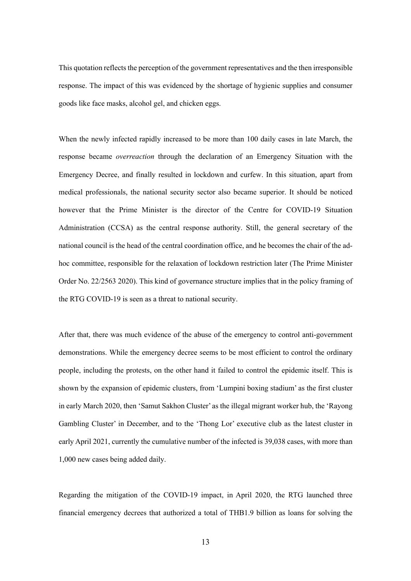This quotation reflects the perception of the government representatives and the then irresponsible response. The impact of this was evidenced by the shortage of hygienic supplies and consumer goods like face masks, alcohol gel, and chicken eggs.

When the newly infected rapidly increased to be more than 100 daily cases in late March, the response became *overreaction* through the declaration of an Emergency Situation with the Emergency Decree, and finally resulted in lockdown and curfew. In this situation, apart from medical professionals, the national security sector also became superior. It should be noticed however that the Prime Minister is the director of the Centre for COVID-19 Situation Administration (CCSA) as the central response authority. Still, the general secretary of the national council is the head of the central coordination office, and he becomes the chair of the adhoc committee, responsible for the relaxation of lockdown restriction later (The Prime Minister Order No. 22/2563 2020). This kind of governance structure implies that in the policy framing of the RTG COVID-19 is seen as a threat to national security.

After that, there was much evidence of the abuse of the emergency to control anti-government demonstrations. While the emergency decree seems to be most efficient to control the ordinary people, including the protests, on the other hand it failed to control the epidemic itself. This is shown by the expansion of epidemic clusters, from 'Lumpini boxing stadium' as the first cluster in early March 2020, then 'Samut Sakhon Cluster' as the illegal migrant worker hub, the 'Rayong Gambling Cluster' in December, and to the 'Thong Lor' executive club as the latest cluster in early April 2021, currently the cumulative number of the infected is 39,038 cases, with more than 1,000 new cases being added daily.

Regarding the mitigation of the COVID-19 impact, in April 2020, the RTG launched three financial emergency decrees that authorized a total of THB1.9 billion as loans for solving the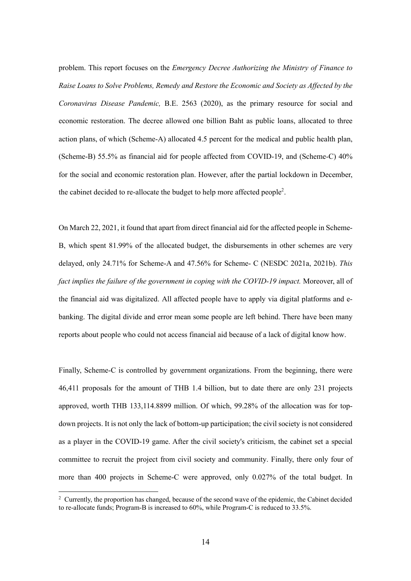problem. This report focuses on the *Emergency Decree Authorizing the Ministry of Finance to Raise Loans to Solve Problems, Remedy and Restore the Economic and Society as Affected by the Coronavirus Disease Pandemic,* B.E. 2563 (2020), as the primary resource for social and economic restoration. The decree allowed one billion Baht as public loans, allocated to three action plans, of which (Scheme-A) allocated 4.5 percent for the medical and public health plan, (Scheme-B) 55.5% as financial aid for people affected from COVID-19, and (Scheme-C) 40% for the social and economic restoration plan. However, after the partial lockdown in December, the cabinet decided to re-allocate the budget to help more affected people<sup>2</sup>.

On March 22, 2021, it found that apart from direct financial aid for the affected people in Scheme-B, which spent 81.99% of the allocated budget, the disbursements in other schemes are very delayed, only 24.71% for Scheme-A and 47.56% for Scheme- C (NESDC 2021a, 2021b). *This fact implies the failure of the government in coping with the COVID-19 impact.* Moreover, all of the financial aid was digitalized. All affected people have to apply via digital platforms and ebanking. The digital divide and error mean some people are left behind. There have been many reports about people who could not access financial aid because of a lack of digital know how.

Finally, Scheme-C is controlled by government organizations. From the beginning, there were 46,411 proposals for the amount of THB 1.4 billion, but to date there are only 231 projects approved, worth THB 133,114.8899 million. Of which, 99.28% of the allocation was for topdown projects. It is not only the lack of bottom-up participation; the civil society is not considered as a player in the COVID-19 game. After the civil society's criticism, the cabinet set a special committee to recruit the project from civil society and community. Finally, there only four of more than 400 projects in Scheme-C were approved, only 0.027% of the total budget. In

<sup>&</sup>lt;sup>2</sup> Currently, the proportion has changed, because of the second wave of the epidemic, the Cabinet decided to re-allocate funds; Program-B is increased to 60%, while Program-C is reduced to 33.5%.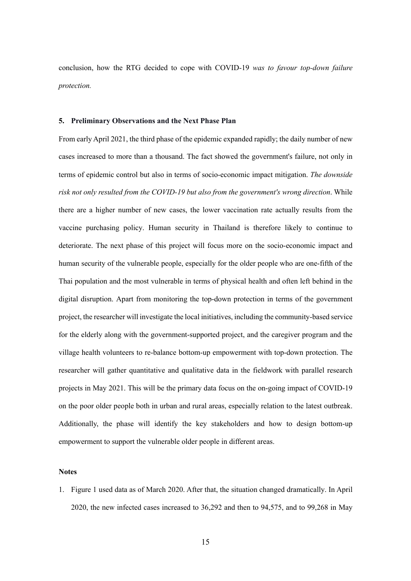conclusion, how the RTG decided to cope with COVID-19 *was to favour top-down failure protection.*

#### **5. Preliminary Observations and the Next Phase Plan**

From early April 2021, the third phase of the epidemic expanded rapidly; the daily number of new cases increased to more than a thousand. The fact showed the government's failure, not only in terms of epidemic control but also in terms of socio-economic impact mitigation. *The downside risk not only resulted from the COVID-19 but also from the government's wrong direction*. While there are a higher number of new cases, the lower vaccination rate actually results from the vaccine purchasing policy. Human security in Thailand is therefore likely to continue to deteriorate. The next phase of this project will focus more on the socio-economic impact and human security of the vulnerable people, especially for the older people who are one-fifth of the Thai population and the most vulnerable in terms of physical health and often left behind in the digital disruption. Apart from monitoring the top-down protection in terms of the government project, the researcher will investigate the local initiatives, including the community-based service for the elderly along with the government-supported project, and the caregiver program and the village health volunteers to re-balance bottom-up empowerment with top-down protection. The researcher will gather quantitative and qualitative data in the fieldwork with parallel research projects in May 2021. This will be the primary data focus on the on-going impact of COVID-19 on the poor older people both in urban and rural areas, especially relation to the latest outbreak. Additionally, the phase will identify the key stakeholders and how to design bottom-up empowerment to support the vulnerable older people in different areas.

## **Notes**

1. Figure 1 used data as of March 2020. After that, the situation changed dramatically. In April 2020, the new infected cases increased to 36,292 and then to 94,575, and to 99,268 in May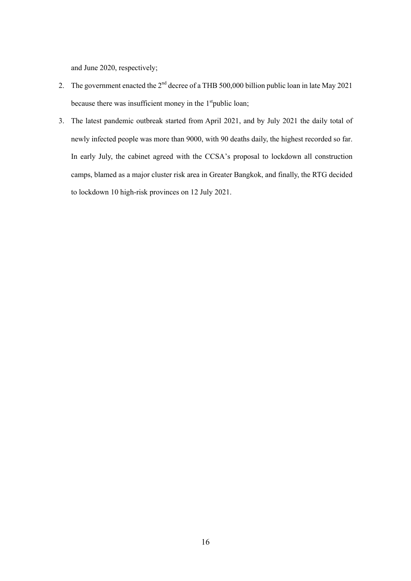and June 2020, respectively;

- 2. The government enacted the 2<sup>nd</sup> decree of a THB 500,000 billion public loan in late May 2021 because there was insufficient money in the  $1<sup>st</sup>$ public loan;
- 3. The latest pandemic outbreak started from April 2021, and by July 2021 the daily total of newly infected people was more than 9000, with 90 deaths daily, the highest recorded so far. In early July, the cabinet agreed with the CCSA's proposal to lockdown all construction camps, blamed as a major cluster risk area in Greater Bangkok, and finally, the RTG decided to lockdown 10 high-risk provinces on 12 July 2021.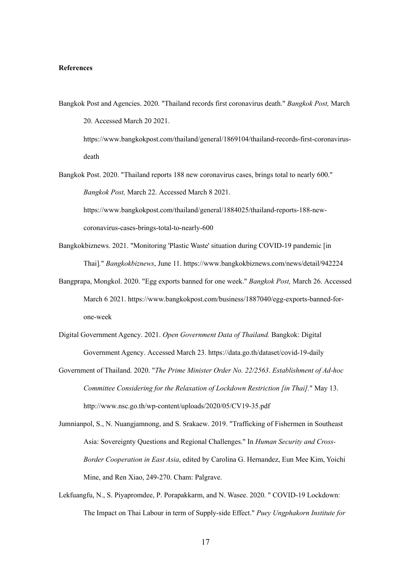#### **References**

Bangkok Post and Agencies. 2020. "Thailand records first coronavirus death." *Bangkok Post,* March 20. Accessed March 20 2021.

https://www.bangkokpost.com/thailand/general/1869104/thailand-records-first-coronavirusdeath

Bangkok Post. 2020. "Thailand reports 188 new coronavirus cases, brings total to nearly 600." *Bangkok Post,* March 22. Accessed March 8 2021.

https://www.bangkokpost.com/thailand/general/1884025/thailand-reports-188-newcoronavirus-cases-brings-total-to-nearly-600

- Bangkokbiznews. 2021. "Monitoring 'Plastic Waste' situation during COVID-19 pandemic [in Thai]*.*" *Bangkokbiznews*, June 11. https://www.bangkokbiznews.com/news/detail/942224
- Bangprapa, Mongkol. 2020. "Egg exports banned for one week." *Bangkok Post,* March 26. Accessed March 6 2021. https://www.bangkokpost.com/business/1887040/egg-exports-banned-forone-week
- Digital Government Agency. 2021. *Open Government Data of Thailand.* Bangkok: Digital Government Agency. Accessed March 23. https://data.go.th/dataset/covid-19-daily
- Government of Thailand. 2020. "*The Prime Minister Order No. 22/2563*. *Establishment of Ad-hoc Committee Considering for the Relaxation of Lockdown Restriction [in Thai].*" May 13. http://www.nsc.go.th/wp-content/uploads/2020/05/CV19-35.pdf
- Jumnianpol, S., N. Nuangjamnong, and S. Srakaew. 2019. "Trafficking of Fishermen in Southeast Asia: Sovereignty Questions and Regional Challenges." In *Human Security and Cross-Border Cooperation in East Asia*, edited by Carolina G. Hernandez, Eun Mee Kim, Yoichi Mine, and Ren Xiao, 249-270. Cham: Palgrave.
- Lekfuangfu, N., S. Piyapromdee, P. Porapakkarm, and N. Wasee. 2020. " COVID-19 Lockdown: The Impact on Thai Labour in term of Supply-side Effect." *Puey Ungphakorn Institute for*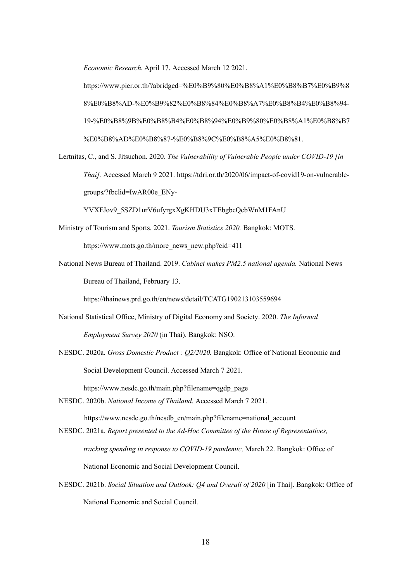*Economic Research.* April 17. Accessed March 12 2021.

https://www.pier.or.th/?abridged=%E0%B9%80%E0%B8%A1%E0%B8%B7%E0%B9%8 8%E0%B8%AD-%E0%B9%82%E0%B8%84%E0%B8%A7%E0%B8%B4%E0%B8%94- 19-%E0%B8%9B%E0%B8%B4%E0%B8%94%E0%B9%80%E0%B8%A1%E0%B8%B7 %E0%B8%AD%E0%B8%87-%E0%B8%9C%E0%B8%A5%E0%B8%81.

Lertnitas, C., and S. Jitsuchon. 2020. *The Vulnerability of Vulnerable People under COVID-19 [in Thai].* Accessed March 9 2021. https://tdri.or.th/2020/06/impact-of-covid19-on-vulnerablegroups/?fbclid=IwAR00e\_ENy-

YVXFJov9\_5SZD1urV6ufyrgxXgKHDU3xTEbgbcQcbWnM1FAnU

- Ministry of Tourism and Sports. 2021. *Tourism Statistics 2020.* Bangkok: MOTS. https://www.mots.go.th/more\_news\_new.php?cid=411
- National News Bureau of Thailand. 2019. *Cabinet makes PM2.5 national agenda.* National News Bureau of Thailand, February 13.

https://thainews.prd.go.th/en/news/detail/TCATG190213103559694

- National Statistical Office, Ministry of Digital Economy and Society. 2020. *The Informal Employment Survey 2020* (in Thai)*.* Bangkok: NSO.
- NESDC. 2020a. *Gross Domestic Product : Q2/2020.* Bangkok: Office of National Economic and Social Development Council. Accessed March 7 2021.

https://www.nesdc.go.th/main.php?filename=qgdp\_page

- NESDC. 2020b. *National Income of Thailand.* Accessed March 7 2021. https://www.nesdc.go.th/nesdb\_en/main.php?filename=national\_account
- NESDC. 2021a. *Report presented to the Ad-Hoc Committee of the House of Representatives, tracking spending in response to COVID-19 pandemic,* March 22. Bangkok: Office of National Economic and Social Development Council.
- NESDC. 2021b. *Social Situation and Outlook: Q4 and Overall of 2020* [in Thai]. Bangkok: Office of National Economic and Social Council*.*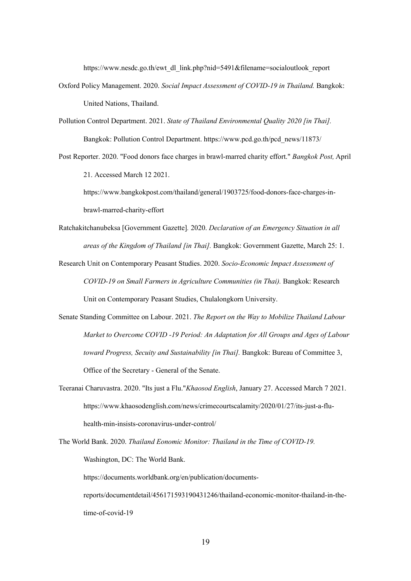https://www.nesdc.go.th/ewt\_dl\_link.php?nid=5491&filename=socialoutlook\_report

- Oxford Policy Management. 2020. *Social Impact Assessment of COVID-19 in Thailand.* Bangkok: United Nations, Thailand.
- Pollution Control Department. 2021. *State of Thailand Environmental Quality 2020 [in Thai].* Bangkok: Pollution Control Department. https://www.pcd.go.th/pcd\_news/11873/
- Post Reporter. 2020. "Food donors face charges in brawl-marred charity effort." *Bangkok Post,* April 21. Accessed March 12 2021.

https://www.bangkokpost.com/thailand/general/1903725/food-donors-face-charges-inbrawl-marred-charity-effort

- Ratchakitchanubeksa [Government Gazette]*.* 2020. *Declaration of an Emergency Situation in all areas of the Kingdom of Thailand [in Thai].* Bangkok: Government Gazette, March 25: 1.
- Research Unit on Contemporary Peasant Studies. 2020. *Socio-Economic Impact Assessment of COVID-19 on Small Farmers in Agriculture Communities (in Thai).* Bangkok: Research Unit on Contemporary Peasant Studies, Chulalongkorn University.
- Senate Standing Committee on Labour. 2021. *The Report on the Way to Mobilize Thailand Labour Market to Overcome COVID -19 Period: An Adaptation for All Groups and Ages of Labour toward Progress, Secuity and Sustainability [in Thai].* Bangkok: Bureau of Committee 3, Office of the Secretary - General of the Senate.
- Teeranai Charuvastra. 2020. "Its just a Flu."*Khaosod English*, January 27. Accessed March 7 2021. https://www.khaosodenglish.com/news/crimecourtscalamity/2020/01/27/its-just-a-fluhealth-min-insists-coronavirus-under-control/
- The World Bank. 2020. *Thailand Eonomic Monitor: Thailand in the Time of COVID-19.* Washington, DC: The World Bank.

https://documents.worldbank.org/en/publication/documents-

reports/documentdetail/456171593190431246/thailand-economic-monitor-thailand-in-thetime-of-covid-19